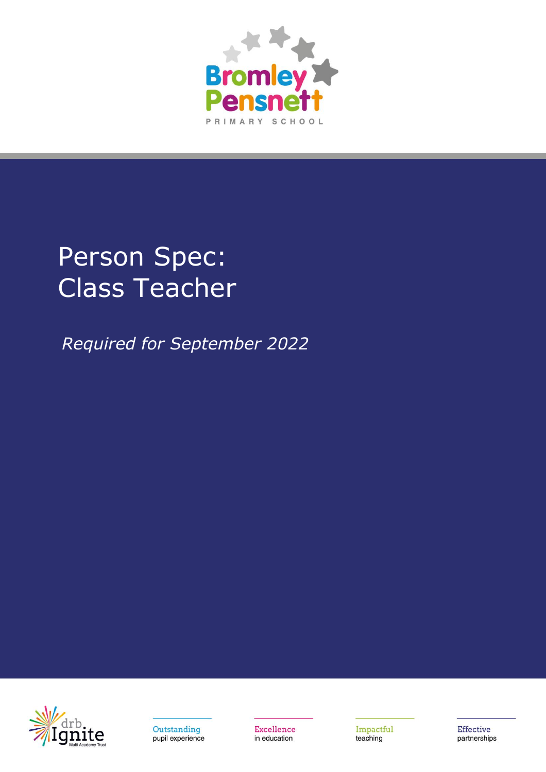

## Person Spec: Class Teacher

*Required for September 2022*





Excellence in education

Impactful teaching

Effective partnerships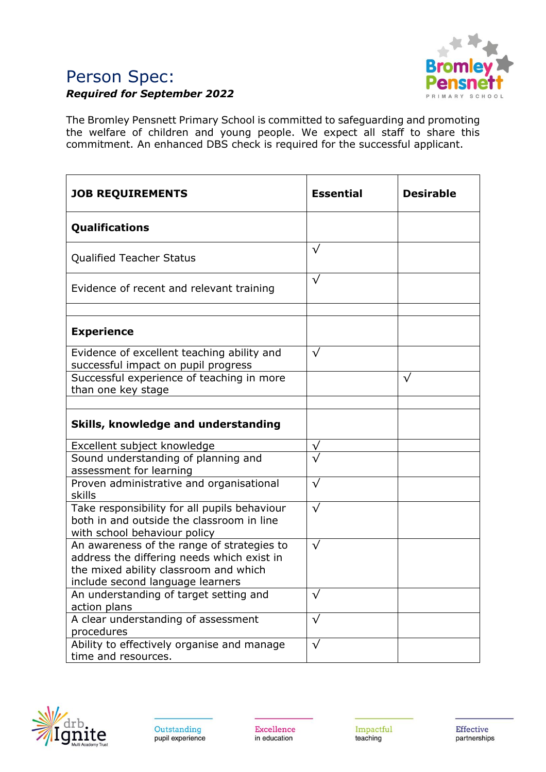## Person Spec: *Required for September 2022*



The Bromley Pensnett Primary School is committed to safeguarding and promoting the welfare of children and young people. We expect all staff to share this commitment. An enhanced DBS check is required for the successful applicant.

| <b>JOB REQUIREMENTS</b>                                                                                                                                               | <b>Essential</b> | <b>Desirable</b> |
|-----------------------------------------------------------------------------------------------------------------------------------------------------------------------|------------------|------------------|
| <b>Qualifications</b>                                                                                                                                                 |                  |                  |
| <b>Qualified Teacher Status</b>                                                                                                                                       | $\sqrt{}$        |                  |
| Evidence of recent and relevant training                                                                                                                              | $\sqrt{}$        |                  |
| <b>Experience</b>                                                                                                                                                     |                  |                  |
| Evidence of excellent teaching ability and<br>successful impact on pupil progress                                                                                     | $\sqrt{}$        |                  |
| Successful experience of teaching in more<br>than one key stage                                                                                                       |                  | $\sqrt{}$        |
| Skills, knowledge and understanding                                                                                                                                   |                  |                  |
| Excellent subject knowledge                                                                                                                                           | $\sqrt{}$        |                  |
| Sound understanding of planning and<br>assessment for learning                                                                                                        |                  |                  |
| Proven administrative and organisational<br>skills                                                                                                                    | $\sqrt{}$        |                  |
| Take responsibility for all pupils behaviour<br>both in and outside the classroom in line<br>with school behaviour policy                                             | $\sqrt{}$        |                  |
| An awareness of the range of strategies to<br>address the differing needs which exist in<br>the mixed ability classroom and which<br>include second language learners | $\sqrt{}$        |                  |
| An understanding of target setting and<br>action plans                                                                                                                | $\sqrt{}$        |                  |
| A clear understanding of assessment<br>procedures                                                                                                                     | $\sqrt{}$        |                  |
| Ability to effectively organise and manage<br>time and resources.                                                                                                     | $\sqrt{}$        |                  |



Excellence in education